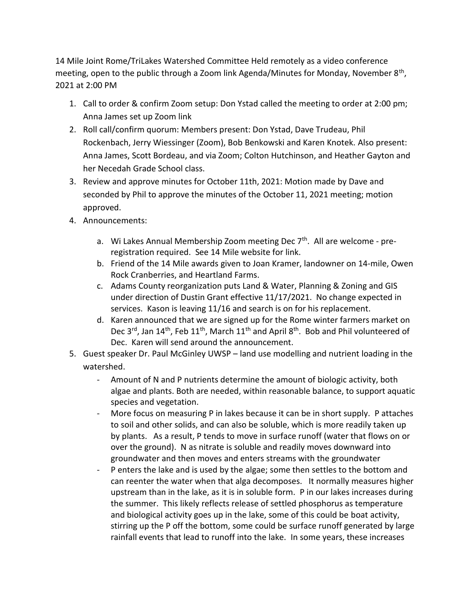14 Mile Joint Rome/TriLakes Watershed Committee Held remotely as a video conference meeting, open to the public through a Zoom link Agenda/Minutes for Monday, November 8<sup>th</sup>, 2021 at 2:00 PM

- 1. Call to order & confirm Zoom setup: Don Ystad called the meeting to order at 2:00 pm; Anna James set up Zoom link
- 2. Roll call/confirm quorum: Members present: Don Ystad, Dave Trudeau, Phil Rockenbach, Jerry Wiessinger (Zoom), Bob Benkowski and Karen Knotek. Also present: Anna James, Scott Bordeau, and via Zoom; Colton Hutchinson, and Heather Gayton and her Necedah Grade School class.
- 3. Review and approve minutes for October 11th, 2021: Motion made by Dave and seconded by Phil to approve the minutes of the October 11, 2021 meeting; motion approved.
- 4. Announcements:
	- a. Wi Lakes Annual Membership Zoom meeting Dec  $7<sup>th</sup>$ . All are welcome preregistration required. See 14 Mile website for link.
	- b. Friend of the 14 Mile awards given to Joan Kramer, landowner on 14-mile, Owen Rock Cranberries, and Heartland Farms.
	- c. Adams County reorganization puts Land & Water, Planning & Zoning and GIS under direction of Dustin Grant effective 11/17/2021. No change expected in services. Kason is leaving 11/16 and search is on for his replacement.
	- d. Karen announced that we are signed up for the Rome winter farmers market on Dec  $3^{rd}$ , Jan  $14^{th}$ , Feb  $11^{th}$ , March  $11^{th}$  and April  $8^{th}$ . Bob and Phil volunteered of Dec. Karen will send around the announcement.
- 5. Guest speaker Dr. Paul McGinley UWSP land use modelling and nutrient loading in the watershed.
	- Amount of N and P nutrients determine the amount of biologic activity, both algae and plants. Both are needed, within reasonable balance, to support aquatic species and vegetation.
	- More focus on measuring P in lakes because it can be in short supply. P attaches to soil and other solids, and can also be soluble, which is more readily taken up by plants. As a result, P tends to move in surface runoff (water that flows on or over the ground). N as nitrate is soluble and readily moves downward into groundwater and then moves and enters streams with the groundwater
	- P enters the lake and is used by the algae; some then settles to the bottom and can reenter the water when that alga decomposes. It normally measures higher upstream than in the lake, as it is in soluble form. P in our lakes increases during the summer. This likely reflects release of settled phosphorus as temperature and biological activity goes up in the lake, some of this could be boat activity, stirring up the P off the bottom, some could be surface runoff generated by large rainfall events that lead to runoff into the lake. In some years, these increases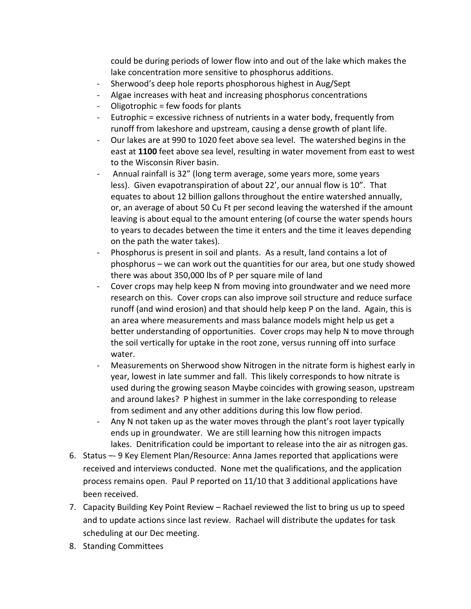could be during periods of lower flow into and out of the lake which makes the lake concentration more sensitive to phosphorus additions.

- Sherwood's deep hole reports phosphorous highest in Aug/Sept
- Algae increases with heat and increasing phosphorus concentrations
- Oligotrophic = few foods for plants
- Eutrophic = excessive richness of nutrients in a water body, frequently from runoff from lakeshore and upstream, causing a dense growth of plant life.
- Our lakes are at 990 to 1020 feet above sea level. The watershed begins in the east at **1100** feet above sea level, resulting in water movement from east to west to the Wisconsin River basin.
- Annual rainfall is 32" (long term average, some years more, some years less). Given evapotranspiration of about 22', our annual flow is 10". That equates to about 12 billion gallons throughout the entire watershed annually, or, an average of about 50 Cu Ft per second leaving the watershed if the amount leaving is about equal to the amount entering (of course the water spends hours to years to decades between the time it enters and the time it leaves depending on the path the water takes).
- Phosphorus is present in soil and plants. As a result, land contains a lot of phosphorus – we can work out the quantities for our area, but one study showed there was about 350,000 lbs of P per square mile of land
- Cover crops may help keep N from moving into groundwater and we need more research on this. Cover crops can also improve soil structure and reduce surface runoff (and wind erosion) and that should help keep P on the land. Again, this is an area where measurements and mass balance models might help us get a better understanding of opportunities. Cover crops may help N to move through the soil vertically for uptake in the root zone, versus running off into surface water.
- Measurements on Sherwood show Nitrogen in the nitrate form is highest early in year, lowest in late summer and fall. This likely corresponds to how nitrate is used during the growing season Maybe coincides with growing season, upstream and around lakes? P highest in summer in the lake corresponding to release from sediment and any other additions during this low flow period.
- Any N not taken up as the water moves through the plant's root layer typically ends up in groundwater. We are still learning how this nitrogen impacts lakes. Denitrification could be important to release into the air as nitrogen gas.
- 6. Status –- 9 Key Element Plan/Resource: Anna James reported that applications were received and interviews conducted. None met the qualifications, and the application process remains open. Paul P reported on 11/10 that 3 additional applications have been received.
- 7. Capacity Building Key Point Review Rachael reviewed the list to bring us up to speed and to update actions since last review. Rachael will distribute the updates for task scheduling at our Dec meeting.
- 8. Standing Committees